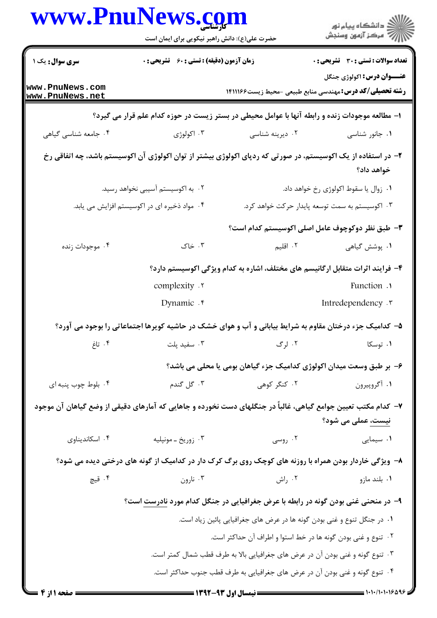| www.PnuNews.com                                                                | حضرت علی(ع): دانش راهبر نیکویی برای ایمان است                 |                                                                                                                | ڪ دانشڪاه پيا <sub>م</sub> نور<br>۾ مرڪز آزمون وسنجش |  |  |
|--------------------------------------------------------------------------------|---------------------------------------------------------------|----------------------------------------------------------------------------------------------------------------|------------------------------------------------------|--|--|
| <b>سری سوال :</b> یک ۱                                                         | <b>زمان آزمون (دقیقه) : تستی : 60 ٪ تشریحی : 0</b>            |                                                                                                                | تعداد سوالات : تستى : 30 - تشريحي : 0                |  |  |
| www.PnuNews.com<br>www.PnuNews.net                                             |                                                               | <b>رشته تحصیلی/کد درس: م</b> هندسی منابع طبیعی -محیط زیست۱۴۱۱۱۶۶                                               | <b>عنـــوان درس:</b> اکولوژي جنگل                    |  |  |
|                                                                                |                                                               | ا– مطالعه موجودات زنده و رابطه آنها با عوامل محیطی در بستر زیست در حوزه کدام علم قرار می گیرد؟                 |                                                      |  |  |
| ۰۴ جامعه شناسی گیاهی                                                           | ۰۳ اکولوژی                                                    | ۰۲ دیرینه شناسی                                                                                                | ۰۱ جانور شناسی                                       |  |  |
|                                                                                |                                                               | ۲– در استفاده از یک اکوسیستم، در صورتی که ردپای اکولوژی بیشتر از توان اکولوژی آن اکوسیستم باشد، چه اتفاقی رخ   | خواهد داد؟                                           |  |  |
|                                                                                | ۰۲ به اکوسیستم آسیبی نخواهد رسید.                             |                                                                                                                | ٠١ زوال يا سقوط اكولوژى رخ خواهد داد.                |  |  |
|                                                                                | ۰۴ مواد ذخیره ای در اکوسیستم افزایش می یابد.                  |                                                                                                                | ۰۳ اکوسیستم به سمت توسعه پایدار حرکت خواهد کرد.      |  |  |
|                                                                                |                                                               | ۳– طبق نظر دوکوچوف عامل اصلی اکوسیستم کدام است؟                                                                |                                                      |  |  |
| ۰۴ موجودات زنده                                                                | ۰۳ خاک                                                        | ۰۲ اقلیم                                                                                                       | ۰۱ پوشش گیاهی                                        |  |  |
|                                                                                |                                                               | ۴– فرایند اثرات متقابل ارگانیسم های مختلف، اشاره به کدام ویژگی اکوسیستم دارد؟                                  |                                                      |  |  |
|                                                                                | complexity .                                                  |                                                                                                                | Function .                                           |  |  |
|                                                                                | Dynamic . r                                                   |                                                                                                                | Intredependency .                                    |  |  |
|                                                                                |                                                               | ۵- کدامیک جزء درختان مقاوم به شرایط بیابانی و آب و هوای خشک در حاشیه کویرها اجتماعاتی را بوجود می آورد؟        |                                                      |  |  |
| ۰۴ تاغ                                                                         | ۰۳ سفید پلت                                                   | ۰۲ لرگ                                                                                                         | ۰۱ توسکا                                             |  |  |
|                                                                                |                                                               | ۶– بر طبق وسعت میدان اکولوژی کدامیک جزء گیاهان بومی یا محلی می باشد؟                                           |                                                      |  |  |
| ۰۴ بلوط چوب پنبه ای                                                            | ۰۳ گل گندم                                                    | ۰۲ کنگر کوهی                                                                                                   | ١. أگروپيرون                                         |  |  |
|                                                                                |                                                               | ۷–  کدام مکتب تعیین جوامع گیاهی، غالباً در جنگلهای دست نخورده و جاهایی که آمارهای دقیقی از وضع گیاهان آن موجود | نیست، عملی می شود؟                                   |  |  |
| ۰۴ اسکاندیناوی                                                                 | ۰۳ زوريخ ـ مونپليه                                            | ۰۲ روسی                                                                                                        | ۰۱ سیمایی                                            |  |  |
|                                                                                |                                                               | ۸− ویژگی خاردار بودن همراه با روزنه های کوچک روی برگ کرک دار در کدامیک از گونه های درختی دیده می شود؟          |                                                      |  |  |
| ۰۴ قیچ                                                                         | ۰۳ نارون                                                      | ۰۲ راش                                                                                                         | ٠١. بلند مازو                                        |  |  |
|                                                                                |                                                               | ۹- در منحنی غنی بودن گونه در رابطه با عرض جغرافیایی در جنگل کدام مورد <u>نادرست</u> است؟                       |                                                      |  |  |
|                                                                                |                                                               | ۰۱ در جنگل تنوع و غنی بودن گونه ها در عرض های جغرافیایی پائین زیاد است.                                        |                                                      |  |  |
|                                                                                | ۰۲ تنوع و غنی بودن گونه ها در خط استوا و اطراف آن حداکثر است. |                                                                                                                |                                                      |  |  |
| ۰۳ تنوع گونه و غنی بودن آن در عرض های جغرافیایی بالا به طرف قطب شمال کمتر است. |                                                               |                                                                                                                |                                                      |  |  |
|                                                                                |                                                               | ۰۴ تنوع گونه و غنی بودن آن در عرض های جغرافیایی به طرف قطب جنوب حداکثر است.                                    |                                                      |  |  |
| <b>: صفحه ۱ از ۴</b>                                                           |                                                               | = نیمسال اول ۹۳-۱۳۹۲ =                                                                                         | $\equiv$ 1.1./1.1.18498                              |  |  |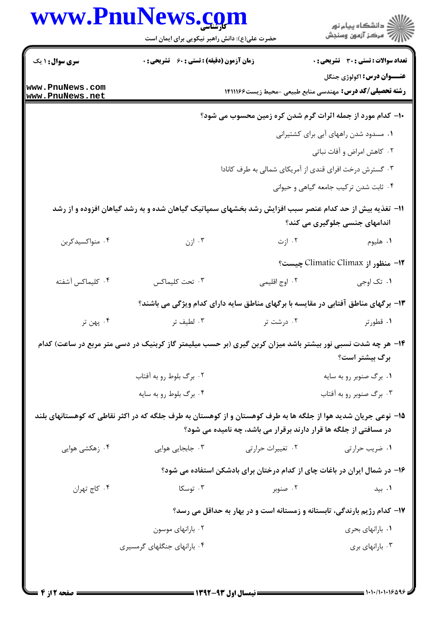|                                                                                                                | www.PnuNews.com<br>حضرت علی(ع): دانش راهبر نیکویی برای ایمان است |                   | ڪ دانشڪاه پيام نور<br>ر∕ = مرڪز آزمون وسنڊش                                                            |
|----------------------------------------------------------------------------------------------------------------|------------------------------------------------------------------|-------------------|--------------------------------------------------------------------------------------------------------|
| <b>سری سوال : ۱ یک</b>                                                                                         | <b>زمان آزمون (دقیقه) : تستی : 60 ٪ تشریحی : 0</b>               |                   | <b>تعداد سوالات : تستی : 30 ٪ تشریحی : 0</b>                                                           |
| www.PnuNews.com<br>www.PnuNews.net                                                                             |                                                                  |                   | عنـــوان درس: اکولوژی جنگل<br><b>رشته تحصیلی/کد درس:</b> مهندسی منابع طبیعی -محیط زیست۱۴۱۱۱۶۶          |
|                                                                                                                |                                                                  |                   | ∙ا− کدام مورد از جمله اثرات گرم شدن کره زمین محسوب می شود؟                                             |
|                                                                                                                |                                                                  |                   | ۰۱ مسدود شدن راههای آبی برای کشتیرانی                                                                  |
|                                                                                                                |                                                                  |                   | ۰۲ کاهش امراض و آفات نباتی                                                                             |
|                                                                                                                |                                                                  |                   | ۰۳ گسترش درخت افرای قندی از آمریکای شمالی به طرف کانادا                                                |
|                                                                                                                |                                                                  |                   | ۰۴ ثابت شدن ترکیب جامعه گیاهی و حیوانی                                                                 |
|                                                                                                                |                                                                  |                   | 11- تغذیه بیش از حد کدام عنصر سبب افزایش رشد بخشهای سمپاتیک گیاهان شده و به رشد گیاهان افزوده و از رشد |
|                                                                                                                |                                                                  |                   | اندامهای جنسی جلوگیری می کند؟                                                                          |
| ۰۴ منواکسیدکربن                                                                                                | ۰۳ ازن                                                           | ۰۲ ازت            | ۰۱ هلیوم                                                                                               |
|                                                                                                                |                                                                  |                   | 1۲- منظور از Climatic Climax چیست؟                                                                     |
| ۰۴ کلیماکس آشفته                                                                                               | ٠٣ تحت كليماكس                                                   | ۰۲ اوج اقلیمی     | ۰۱ تک اوجي                                                                                             |
|                                                                                                                |                                                                  |                   | ۱۳- برگهای مناطق آفتابی در مقایسه با برگهای مناطق سایه دارای کدام ویژگی می باشند؟                      |
| ۰۴ پهن تر                                                                                                      | ۰۳ لطيف تر                                                       | ۰۲ درشت تر        | ۰۱ قطورتر                                                                                              |
| ۱۴– هر چه شدت نسبی نور بیشتر باشد میزان کربن گیری (بر حسب میلیمتر گاز کربنیک در دسی متر مربع در ساعت) کدام     |                                                                  |                   |                                                                                                        |
|                                                                                                                |                                                                  |                   | برگ بیشتر است؟                                                                                         |
|                                                                                                                | ۰۲ برگ بلوط رو به آفتاب                                          |                   | ۰۱ برگ صنوبر رو به سایه                                                                                |
|                                                                                                                | ۰۴ برگ بلوط رو به سايه                                           |                   | ۰۳ برگ صنوبر رو به آفتاب                                                                               |
| ۱۵– نوعی جریان شدید هوا از جلگه ها به طرف کوهستان و از کوهستان به طرف جلگه که در اکثر نقاطی که کوهستانهای بلند |                                                                  |                   |                                                                                                        |
|                                                                                                                |                                                                  |                   | در مسافتی از جلگه ها قرار دارند برقرار می باشد، چه نامیده می شود؟                                      |
| ۰۴ زهکشی هوایی                                                                                                 | ۰۳ جابجایی هوایی                                                 | ۰۲ تغییرات حرارتی | ۰۱ ضریب حرارتی                                                                                         |
|                                                                                                                |                                                                  |                   | ۱۶– در شمال ایران در باغات چای از کدام درختان برای بادشکن استفاده می شود؟                              |
| ۰۴ کاج تهران                                                                                                   | ۰۳ توسکا                                                         | ۰۲ صنوبر          | ۰۱ بید                                                                                                 |
|                                                                                                                |                                                                  |                   | ۱۷- کدام رژیم بارندگی، تابستانه و زمستانه است و در بهار به حداقل می رسد؟                               |
|                                                                                                                | ۰۲ بارانهای موسون                                                |                   | ۰۱ بارانهای بحری                                                                                       |
|                                                                                                                | ۰۴ بارانهای جنگلهای گرمسیری                                      |                   | ۰۳ بارانهای بری                                                                                        |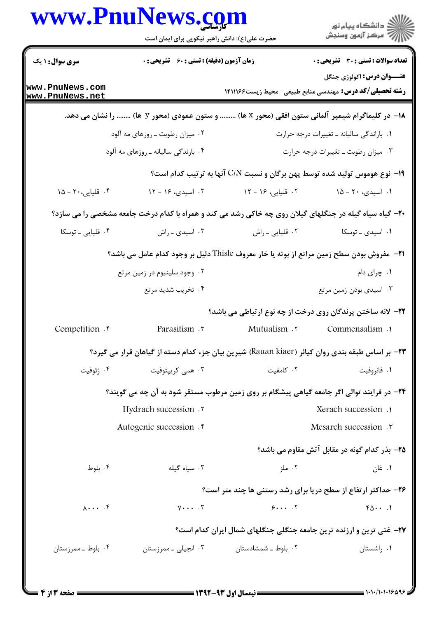|                                          | www.PnuNews.com                                  |                                                                                                                 | انشڪاه پيام نور<br>اڳ مرڪز آزمون وسنڊش                                                                |
|------------------------------------------|--------------------------------------------------|-----------------------------------------------------------------------------------------------------------------|-------------------------------------------------------------------------------------------------------|
|                                          | حضرت علی(ع): دانش راهبر نیکویی برای ایمان است    |                                                                                                                 |                                                                                                       |
| <b>سری سوال :</b> ۱ یک                   | <b>زمان آزمون (دقیقه) : تستی : 60 گشریحی : 0</b> |                                                                                                                 | <b>تعداد سوالات : تستی : 30 ٪ تشریحی : 0</b>                                                          |
| www.PnuNews.com<br>www.PnuNews.net       |                                                  |                                                                                                                 | <b>عنـــوان درس:</b> اکولوژي جنگل<br><b>رشته تحصیلی/کد درس:</b> مهندسی منابع طبیعی -محیط زیست ۱۴۱۱۱۶۶ |
|                                          |                                                  | ۱۸− در کلیماگرام شیمپر آلمانی ستون افقی (محور x ها)  و ستون عمودی (محور y ها)  را نشان می دهد.                  |                                                                                                       |
|                                          | ۰۲ میزان رطوبت ــ روزهای مه آلود                 |                                                                                                                 | ٠١ باراندگی سالیانه ـ تغییرات درجه حرارت                                                              |
|                                          | ۰۴ بارندگی سالیانه ـ روزهای مه آلود              |                                                                                                                 | ۰۳ میزان رطوبت ـ تغییرات درجه حرارت                                                                   |
|                                          |                                                  | ۱۹- نوع هوموس تولید شده توسط پهن برگان و نسبت C/N آنها به ترتیب کدام است؟                                       |                                                                                                       |
| ۰۴ قلیایی، ۲۰ - ۱۵                       | ۰۳ اسیدی، ۱۶ - ۱۲                                | ۰۲ قلیایی، ۱۶ - ۱۲                                                                                              | ۰۱ اسیدی، ۲۰ - ۱۵                                                                                     |
|                                          |                                                  | <b>۲۰</b> - گیاه سیاه گیله در جنگلهای گیلان روی چه خاکی رشد می کند و همراه با کدام درخت جامعه مشخصی را می سازد؟ |                                                                                                       |
| ۰۴ قلیایی ـ توسکا                        | ۰۳ اسیدی ـ راش                                   | ۰۲ قلیایی ـ راش                                                                                                 | ۰۱ اسیدی ـ توسکا                                                                                      |
|                                          |                                                  | 21− ً مفروش بودن سطح زمین مراتع از بوته یا خار معروف Thisle دلیل بر وجود کدام عامل می باشد؟                     |                                                                                                       |
|                                          | ۰۲ وجود سلینیوم در زمین مرتع                     |                                                                                                                 | ٠١. چرای دام                                                                                          |
|                                          | ۰۴ تخریب شدید مرتع                               |                                                                                                                 | ۰۳ اسیدی بودن زمین مرتع                                                                               |
|                                          |                                                  | <b>3۲- لانه ساختن پرندگان روی درخت از چه نوع ارتباطی می باشد؟</b>                                               |                                                                                                       |
| Competition . <sup>6</sup>               | Parasitism .                                     | Mutualism .Y                                                                                                    | Commensalism .                                                                                        |
|                                          |                                                  | +٣- بر اساس طبقه بندي روان كيائر (Rauan kiaer) شيرين بيان جزء كدام دسته از گياهان قرار مي گيرد؟                 |                                                                                                       |
| ۰۴ ژئوفیت                                | ۰۳ همی کریپتوفیت                                 | ۰۲ کامفیت                                                                                                       | ۰۱ فانروفیت                                                                                           |
|                                          |                                                  | ۲۴- در فرایند توالی اگر جامعه گیاهی پیشگام بر روی زمین مرطوب مستقر شود به آن چه می گویند؟                       |                                                                                                       |
|                                          | Hydrach succession .                             |                                                                                                                 | Xerach succession .                                                                                   |
|                                          | Autogenic succession .*                          |                                                                                                                 | Mesarch succession .r                                                                                 |
|                                          |                                                  |                                                                                                                 | ۲۵- بذر کدام گونه در مقابل آتش مقاوم می باشد؟                                                         |
| ۰۴ بلوط                                  | ۰۳ سیاه گیله                                     | ۰۲ ملز                                                                                                          | ۰۱ غان                                                                                                |
|                                          |                                                  | ۲۶- حداکثر ارتفاع از سطح دریا برای رشد رستنی ها چند متر است؟                                                    |                                                                                                       |
| $\lambda \cdot \cdot \cdot$ . $\uparrow$ | $Y \cdot \cdot \cdot$ . $Y'$                     | $\epsilon$ $\zeta$                                                                                              | $f_0 \cdots$                                                                                          |
|                                          |                                                  | <b>۲۷</b> - غنی ترین و ارزنده ترین جامعه جنگلی جنگلهای شمال ایران کدام است؟                                     |                                                                                                       |
|                                          |                                                  |                                                                                                                 |                                                                                                       |